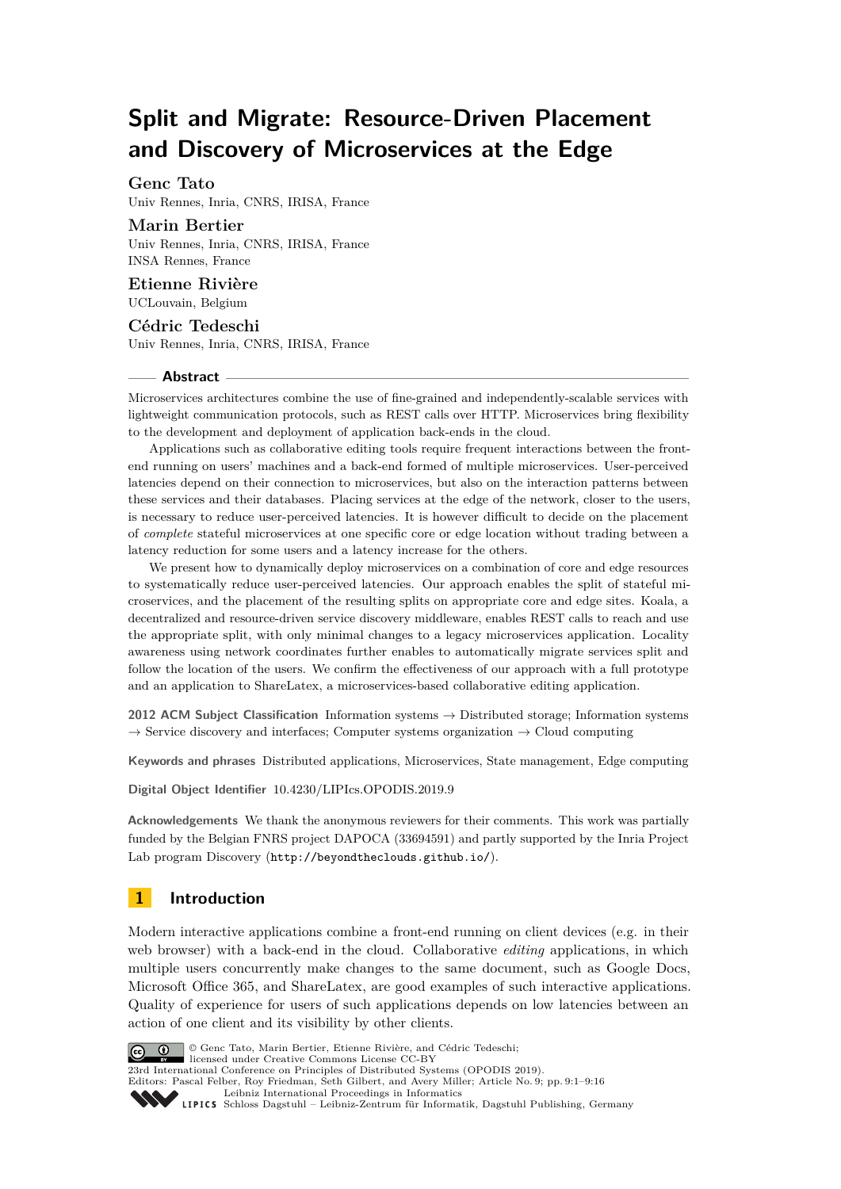# **Split and Migrate: Resource-Driven Placement and Discovery of Microservices at the Edge**

# **Genc Tato**

Univ Rennes, Inria, CNRS, IRISA, France

## **Marin Bertier**

Univ Rennes, Inria, CNRS, IRISA, France INSA Rennes, France

## **Etienne Rivière** UCLouvain, Belgium

## **Cédric Tedeschi** Univ Rennes, Inria, CNRS, IRISA, France

#### **Abstract**

Microservices architectures combine the use of fine-grained and independently-scalable services with lightweight communication protocols, such as REST calls over HTTP. Microservices bring flexibility to the development and deployment of application back-ends in the cloud.

Applications such as collaborative editing tools require frequent interactions between the frontend running on users' machines and a back-end formed of multiple microservices. User-perceived latencies depend on their connection to microservices, but also on the interaction patterns between these services and their databases. Placing services at the edge of the network, closer to the users, is necessary to reduce user-perceived latencies. It is however difficult to decide on the placement of *complete* stateful microservices at one specific core or edge location without trading between a latency reduction for some users and a latency increase for the others.

We present how to dynamically deploy microservices on a combination of core and edge resources to systematically reduce user-perceived latencies. Our approach enables the split of stateful microservices, and the placement of the resulting splits on appropriate core and edge sites. Koala, a decentralized and resource-driven service discovery middleware, enables REST calls to reach and use the appropriate split, with only minimal changes to a legacy microservices application. Locality awareness using network coordinates further enables to automatically migrate services split and follow the location of the users. We confirm the effectiveness of our approach with a full prototype and an application to ShareLatex, a microservices-based collaborative editing application.

**2012 ACM Subject Classification** Information systems → Distributed storage; Information systems  $\rightarrow$  Service discovery and interfaces; Computer systems organization  $\rightarrow$  Cloud computing

**Keywords and phrases** Distributed applications, Microservices, State management, Edge computing

**Digital Object Identifier** [10.4230/LIPIcs.OPODIS.2019.9](https://doi.org/10.4230/LIPIcs.OPODIS.2019.9)

**Acknowledgements** We thank the anonymous reviewers for their comments. This work was partially funded by the Belgian FNRS project DAPOCA (33694591) and partly supported by the Inria Project Lab program Discovery (<http://beyondtheclouds.github.io/>).

# **1 Introduction**

Modern interactive applications combine a front-end running on client devices (e.g. in their web browser) with a back-end in the cloud. Collaborative *editing* applications, in which multiple users concurrently make changes to the same document, such as Google Docs, Microsoft Office 365, and ShareLatex, are good examples of such interactive applications. Quality of experience for users of such applications depends on low latencies between an action of one client and its visibility by other clients.



© Genc Tato, Marin Bertier, Etienne Rivière, and Cédric Tedeschi;

licensed under Creative Commons License CC-BY

23rd International Conference on Principles of Distributed Systems (OPODIS 2019). Editors: Pascal Felber, Roy Friedman, Seth Gilbert, and Avery Miller; Article No. 9; pp. 9:1–9[:16](#page-15-0)

[Leibniz International Proceedings in Informatics](https://www.dagstuhl.de/lipics/)

[Schloss Dagstuhl – Leibniz-Zentrum für Informatik, Dagstuhl Publishing, Germany](https://www.dagstuhl.de)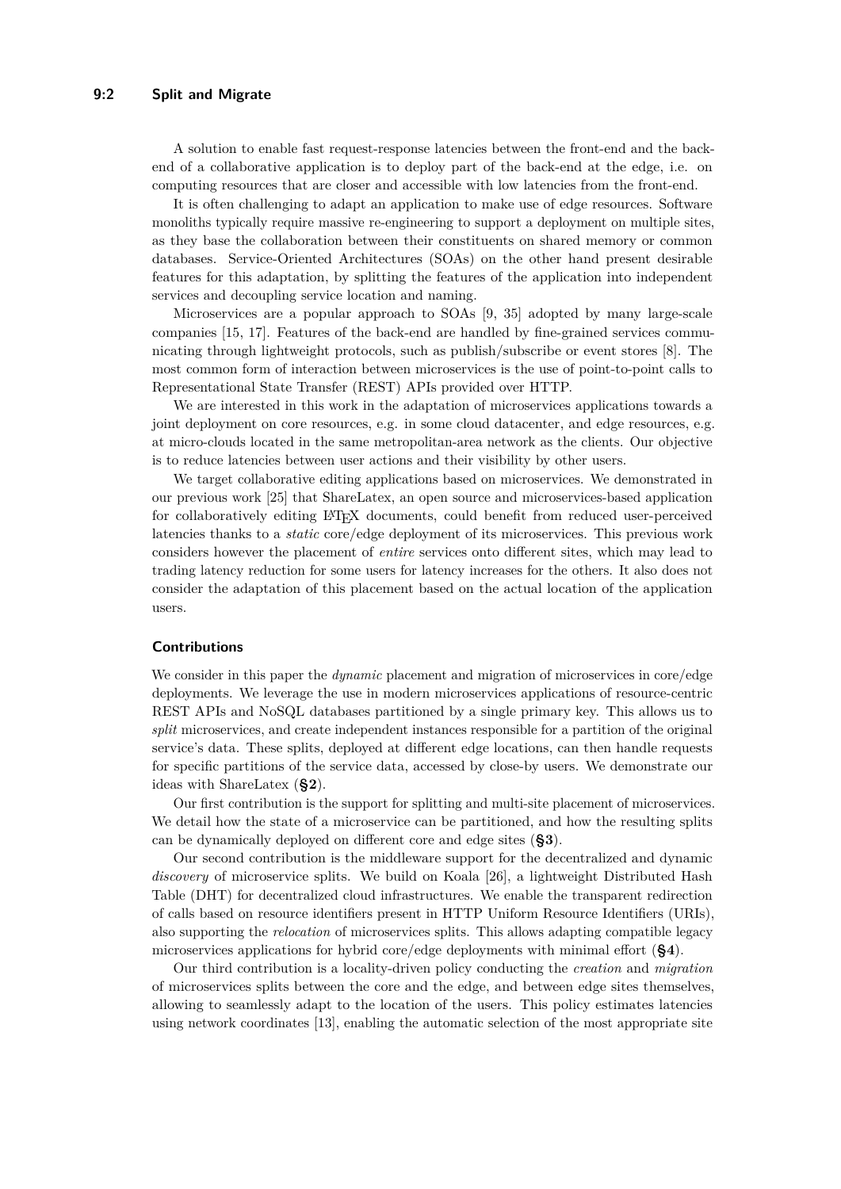#### **9:2 Split and Migrate**

A solution to enable fast request-response latencies between the front-end and the backend of a collaborative application is to deploy part of the back-end at the edge, i.e. on computing resources that are closer and accessible with low latencies from the front-end.

It is often challenging to adapt an application to make use of edge resources. Software monoliths typically require massive re-engineering to support a deployment on multiple sites, as they base the collaboration between their constituents on shared memory or common databases. Service-Oriented Architectures (SOAs) on the other hand present desirable features for this adaptation, by splitting the features of the application into independent services and decoupling service location and naming.

Microservices are a popular approach to SOAs [\[9,](#page-14-0) [35\]](#page-15-1) adopted by many large-scale companies [\[15,](#page-14-1) [17\]](#page-15-2). Features of the back-end are handled by fine-grained services communicating through lightweight protocols, such as publish/subscribe or event stores [\[8\]](#page-14-2). The most common form of interaction between microservices is the use of point-to-point calls to Representational State Transfer (REST) APIs provided over HTTP.

We are interested in this work in the adaptation of microservices applications towards a joint deployment on core resources, e.g. in some cloud datacenter, and edge resources, e.g. at micro-clouds located in the same metropolitan-area network as the clients. Our objective is to reduce latencies between user actions and their visibility by other users.

We target collaborative editing applications based on microservices. We demonstrated in our previous work [\[25\]](#page-15-3) that ShareLatex, an open source and microservices-based application for collaboratively editing LATEX documents, could benefit from reduced user-perceived latencies thanks to a *static* core/edge deployment of its microservices. This previous work considers however the placement of *entire* services onto different sites, which may lead to trading latency reduction for some users for latency increases for the others. It also does not consider the adaptation of this placement based on the actual location of the application users.

## **Contributions**

We consider in this paper the *dynamic* placement and migration of microservices in core/edge deployments. We leverage the use in modern microservices applications of resource-centric REST APIs and NoSQL databases partitioned by a single primary key. This allows us to *split* microservices, and create independent instances responsible for a partition of the original service's data. These splits, deployed at different edge locations, can then handle requests for specific partitions of the service data, accessed by close-by users. We demonstrate our ideas with ShareLatex (**[§2](#page-2-0)**).

Our first contribution is the support for splitting and multi-site placement of microservices. We detail how the state of a microservice can be partitioned, and how the resulting splits can be dynamically deployed on different core and edge sites (**[§3](#page-3-0)**).

Our second contribution is the middleware support for the decentralized and dynamic *discovery* of microservice splits. We build on Koala [\[26\]](#page-15-4), a lightweight Distributed Hash Table (DHT) for decentralized cloud infrastructures. We enable the transparent redirection of calls based on resource identifiers present in HTTP Uniform Resource Identifiers (URIs), also supporting the *relocation* of microservices splits. This allows adapting compatible legacy microservices applications for hybrid core/edge deployments with minimal effort (**[§4](#page-5-0)**).

Our third contribution is a locality-driven policy conducting the *creation* and *migration* of microservices splits between the core and the edge, and between edge sites themselves, allowing to seamlessly adapt to the location of the users. This policy estimates latencies using network coordinates [\[13\]](#page-14-3), enabling the automatic selection of the most appropriate site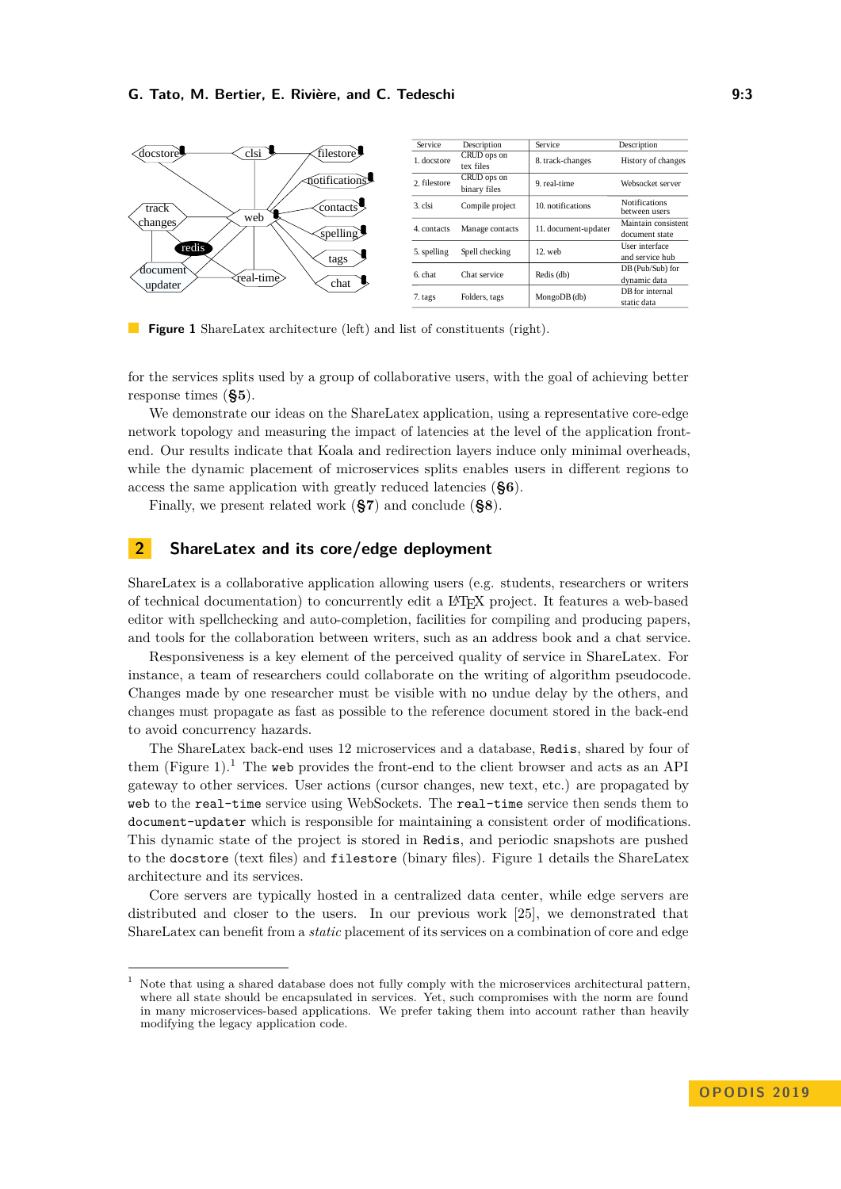<span id="page-2-1"></span>

**Figure 1** ShareLatex architecture (left) and list of constituents (right).

for the services splits used by a group of collaborative users, with the goal of achieving better response times (**[§5](#page-8-0)**).

We demonstrate our ideas on the ShareLatex application, using a representative core-edge network topology and measuring the impact of latencies at the level of the application frontend. Our results indicate that Koala and redirection layers induce only minimal overheads, while the dynamic placement of microservices splits enables users in different regions to access the same application with greatly reduced latencies (**[§6](#page-9-0)**).

Finally, we present related work (**[§7](#page-12-0)**) and conclude (**[§8](#page-13-0)**).

# <span id="page-2-0"></span>**2 ShareLatex and its core/edge deployment**

ShareLatex is a collaborative application allowing users (e.g. students, researchers or writers of technical documentation) to concurrently edit a LATEX project. It features a web-based editor with spellchecking and auto-completion, facilities for compiling and producing papers, and tools for the collaboration between writers, such as an address book and a chat service.

Responsiveness is a key element of the perceived quality of service in ShareLatex. For instance, a team of researchers could collaborate on the writing of algorithm pseudocode. Changes made by one researcher must be visible with no undue delay by the others, and changes must propagate as fast as possible to the reference document stored in the back-end to avoid concurrency hazards.

The ShareLatex back-end uses 12 microservices and a database, Redis, shared by four of them (Figure [1\)](#page-2-1).<sup>[1](#page-2-2)</sup> The web provides the front-end to the client browser and acts as an API gateway to other services. User actions (cursor changes, new text, etc.) are propagated by web to the real-time service using WebSockets. The real-time service then sends them to document-updater which is responsible for maintaining a consistent order of modifications. This dynamic state of the project is stored in Redis, and periodic snapshots are pushed to the docstore (text files) and filestore (binary files). Figure [1](#page-2-1) details the ShareLatex architecture and its services.

Core servers are typically hosted in a centralized data center, while edge servers are distributed and closer to the users. In our previous work [\[25\]](#page-15-3), we demonstrated that ShareLatex can benefit from a *static* placement of its services on a combination of core and edge

<span id="page-2-2"></span><sup>1</sup> Note that using a shared database does not fully comply with the microservices architectural pattern, where all state should be encapsulated in services. Yet, such compromises with the norm are found in many microservices-based applications. We prefer taking them into account rather than heavily modifying the legacy application code.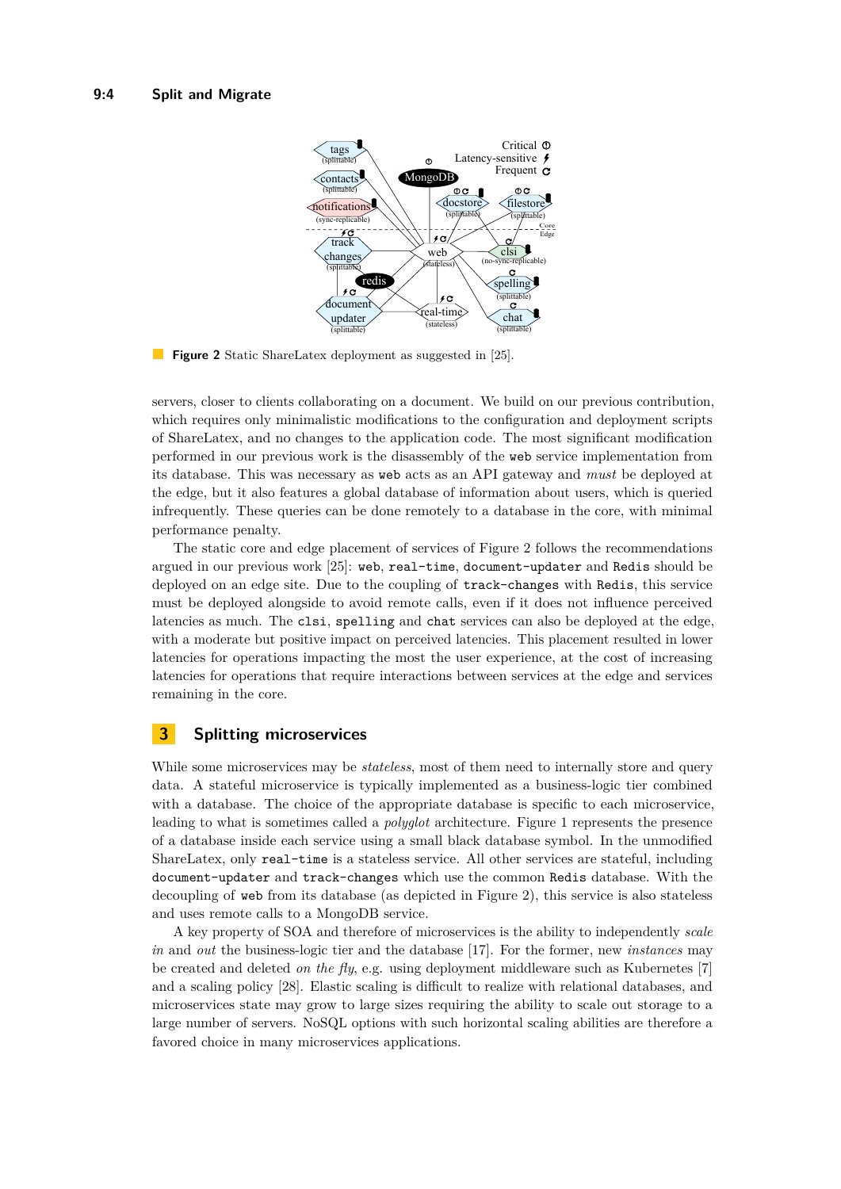<span id="page-3-1"></span>

**Figure 2** Static ShareLatex deployment as suggested in [\[25\]](#page-15-3).

servers, closer to clients collaborating on a document. We build on our previous contribution, which requires only minimalistic modifications to the configuration and deployment scripts of ShareLatex, and no changes to the application code. The most significant modification performed in our previous work is the disassembly of the web service implementation from its database. This was necessary as web acts as an API gateway and *must* be deployed at the edge, but it also features a global database of information about users, which is queried infrequently. These queries can be done remotely to a database in the core, with minimal performance penalty.

The static core and edge placement of services of Figure [2](#page-3-1) follows the recommendations argued in our previous work [\[25\]](#page-15-3): web, real-time, document-updater and Redis should be deployed on an edge site. Due to the coupling of track-changes with Redis, this service must be deployed alongside to avoid remote calls, even if it does not influence perceived latencies as much. The clsi, spelling and chat services can also be deployed at the edge, with a moderate but positive impact on perceived latencies. This placement resulted in lower latencies for operations impacting the most the user experience, at the cost of increasing latencies for operations that require interactions between services at the edge and services remaining in the core.

# <span id="page-3-0"></span>**3 Splitting microservices**

While some microservices may be *stateless*, most of them need to internally store and query data. A stateful microservice is typically implemented as a business-logic tier combined with a database. The choice of the appropriate database is specific to each microservice, leading to what is sometimes called a *polyglot* architecture. Figure [1](#page-2-1) represents the presence of a database inside each service using a small black database symbol. In the unmodified ShareLatex, only real-time is a stateless service. All other services are stateful, including document-updater and track-changes which use the common Redis database. With the decoupling of web from its database (as depicted in Figure [2\)](#page-3-1), this service is also stateless and uses remote calls to a MongoDB service.

A key property of SOA and therefore of microservices is the ability to independently *scale in* and *out* the business-logic tier and the database [\[17\]](#page-15-2). For the former, new *instances* may be created and deleted *on the fly*, e.g. using deployment middleware such as Kubernetes [\[7\]](#page-14-4) and a scaling policy [\[28\]](#page-15-5). Elastic scaling is difficult to realize with relational databases, and microservices state may grow to large sizes requiring the ability to scale out storage to a large number of servers. NoSQL options with such horizontal scaling abilities are therefore a favored choice in many microservices applications.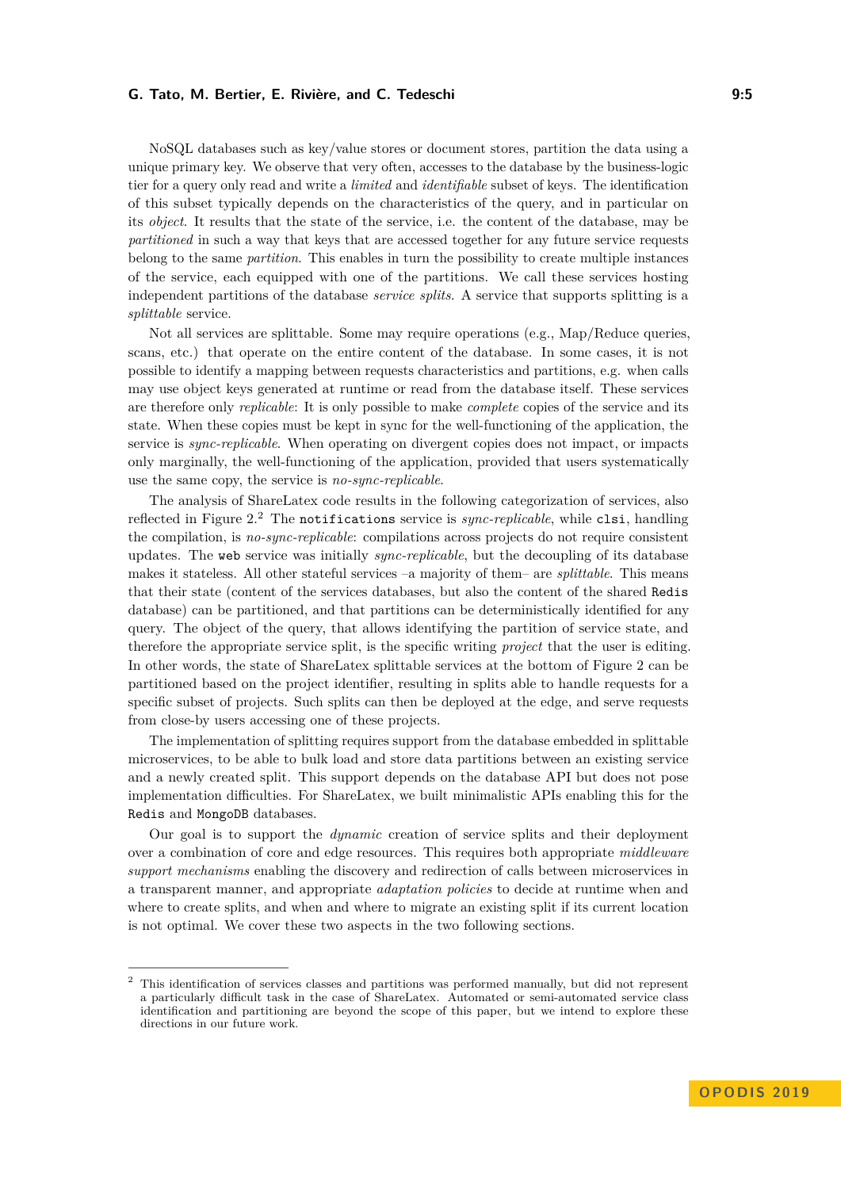NoSQL databases such as key/value stores or document stores, partition the data using a unique primary key. We observe that very often, accesses to the database by the business-logic tier for a query only read and write a *limited* and *identifiable* subset of keys. The identification of this subset typically depends on the characteristics of the query, and in particular on its *object*. It results that the state of the service, i.e. the content of the database, may be *partitioned* in such a way that keys that are accessed together for any future service requests belong to the same *partition*. This enables in turn the possibility to create multiple instances of the service, each equipped with one of the partitions. We call these services hosting independent partitions of the database *service splits*. A service that supports splitting is a *splittable* service.

Not all services are splittable. Some may require operations (e.g., Map/Reduce queries, scans, etc.) that operate on the entire content of the database. In some cases, it is not possible to identify a mapping between requests characteristics and partitions, e.g. when calls may use object keys generated at runtime or read from the database itself. These services are therefore only *replicable*: It is only possible to make *complete* copies of the service and its state. When these copies must be kept in sync for the well-functioning of the application, the service is *sync-replicable*. When operating on divergent copies does not impact, or impacts only marginally, the well-functioning of the application, provided that users systematically use the same copy, the service is *no-sync-replicable*.

The analysis of ShareLatex code results in the following categorization of services, also reflected in Figure [2.](#page-3-1)[2](#page-4-0) The notifications service is *sync-replicable*, while clsi, handling the compilation, is *no-sync-replicable*: compilations across projects do not require consistent updates. The web service was initially *sync-replicable*, but the decoupling of its database makes it stateless. All other stateful services –a majority of them– are *splittable*. This means that their state (content of the services databases, but also the content of the shared Redis database) can be partitioned, and that partitions can be deterministically identified for any query. The object of the query, that allows identifying the partition of service state, and therefore the appropriate service split, is the specific writing *project* that the user is editing. In other words, the state of ShareLatex splittable services at the bottom of Figure [2](#page-3-1) can be partitioned based on the project identifier, resulting in splits able to handle requests for a specific subset of projects. Such splits can then be deployed at the edge, and serve requests from close-by users accessing one of these projects.

The implementation of splitting requires support from the database embedded in splittable microservices, to be able to bulk load and store data partitions between an existing service and a newly created split. This support depends on the database API but does not pose implementation difficulties. For ShareLatex, we built minimalistic APIs enabling this for the Redis and MongoDB databases.

Our goal is to support the *dynamic* creation of service splits and their deployment over a combination of core and edge resources. This requires both appropriate *middleware support mechanisms* enabling the discovery and redirection of calls between microservices in a transparent manner, and appropriate *adaptation policies* to decide at runtime when and where to create splits, and when and where to migrate an existing split if its current location is not optimal. We cover these two aspects in the two following sections.

<span id="page-4-0"></span><sup>&</sup>lt;sup>2</sup> This identification of services classes and partitions was performed manually, but did not represent a particularly difficult task in the case of ShareLatex. Automated or semi-automated service class identification and partitioning are beyond the scope of this paper, but we intend to explore these directions in our future work.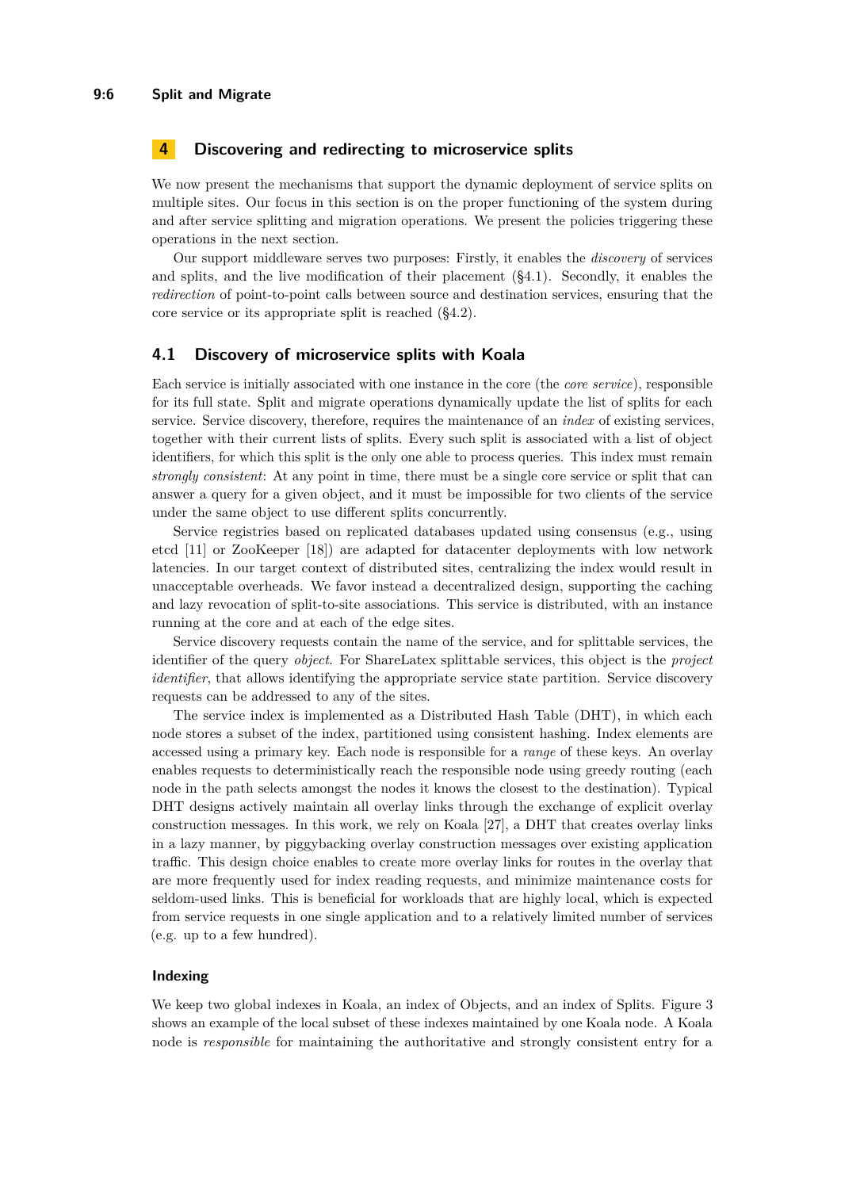# <span id="page-5-0"></span>**4 Discovering and redirecting to microservice splits**

We now present the mechanisms that support the dynamic deployment of service splits on multiple sites. Our focus in this section is on the proper functioning of the system during and after service splitting and migration operations. We present the policies triggering these operations in the next section.

Our support middleware serves two purposes: Firstly, it enables the *discovery* of services and splits, and the live modification of their placement  $(\S 4.1)$ . Secondly, it enables the *redirection* of point-to-point calls between source and destination services, ensuring that the core service or its appropriate split is reached ([§4.2\)](#page-7-0).

#### <span id="page-5-1"></span>**4.1 Discovery of microservice splits with Koala**

Each service is initially associated with one instance in the core (the *core service*), responsible for its full state. Split and migrate operations dynamically update the list of splits for each service. Service discovery, therefore, requires the maintenance of an *index* of existing services, together with their current lists of splits. Every such split is associated with a list of object identifiers, for which this split is the only one able to process queries. This index must remain *strongly consistent*: At any point in time, there must be a single core service or split that can answer a query for a given object, and it must be impossible for two clients of the service under the same object to use different splits concurrently.

Service registries based on replicated databases updated using consensus (e.g., using etcd [\[11\]](#page-14-5) or ZooKeeper [\[18\]](#page-15-6)) are adapted for datacenter deployments with low network latencies. In our target context of distributed sites, centralizing the index would result in unacceptable overheads. We favor instead a decentralized design, supporting the caching and lazy revocation of split-to-site associations. This service is distributed, with an instance running at the core and at each of the edge sites.

Service discovery requests contain the name of the service, and for splittable services, the identifier of the query *object*. For ShareLatex splittable services, this object is the *project identifier*, that allows identifying the appropriate service state partition. Service discovery requests can be addressed to any of the sites.

The service index is implemented as a Distributed Hash Table (DHT), in which each node stores a subset of the index, partitioned using consistent hashing. Index elements are accessed using a primary key. Each node is responsible for a *range* of these keys. An overlay enables requests to deterministically reach the responsible node using greedy routing (each node in the path selects amongst the nodes it knows the closest to the destination). Typical DHT designs actively maintain all overlay links through the exchange of explicit overlay construction messages. In this work, we rely on Koala [\[27\]](#page-15-7), a DHT that creates overlay links in a lazy manner, by piggybacking overlay construction messages over existing application traffic. This design choice enables to create more overlay links for routes in the overlay that are more frequently used for index reading requests, and minimize maintenance costs for seldom-used links. This is beneficial for workloads that are highly local, which is expected from service requests in one single application and to a relatively limited number of services (e.g. up to a few hundred).

#### **Indexing**

We keep two global indexes in Koala, an index of Objects, and an index of Splits. Figure [3](#page-6-0) shows an example of the local subset of these indexes maintained by one Koala node. A Koala node is *responsible* for maintaining the authoritative and strongly consistent entry for a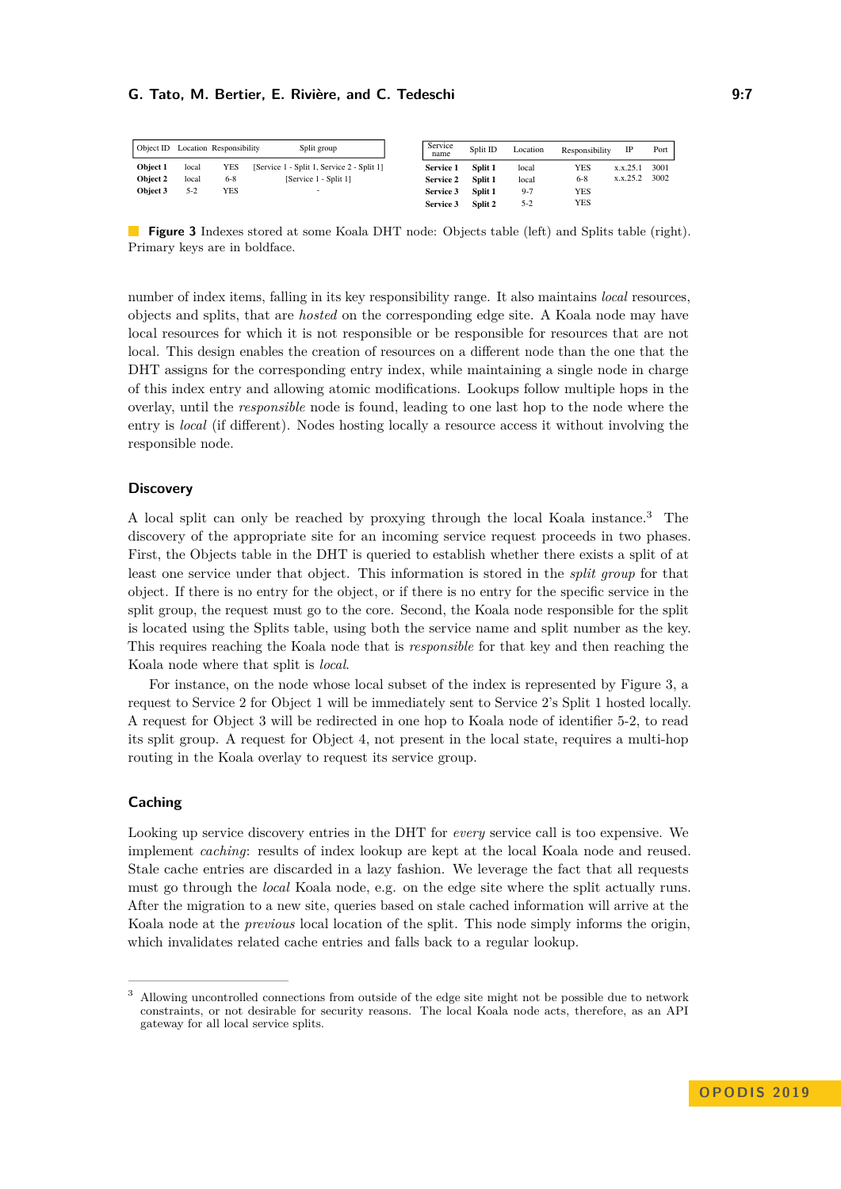<span id="page-6-0"></span>

|          |       | Object ID Location Responsibility | Split group                                | Service<br>name  | Split ID | Location | Responsibility |          | Port |
|----------|-------|-----------------------------------|--------------------------------------------|------------------|----------|----------|----------------|----------|------|
| Object 1 | local | YES                               | [Service 1 - Split 1, Service 2 - Split 1] | <b>Service 1</b> | Split 1  | local    | YES            | x.x.25.1 | 3001 |
| Object 2 | local | $6 - 8$                           | [Service 1 - Split 1]                      | <b>Service 2</b> | Split 1  | local    | $6 - 8$        | x.x.25.2 | 3002 |
| Object 3 | $5-2$ | YES                               |                                            | <b>Service 3</b> | Split 1  | $9-7$    | YES            |          |      |
|          |       |                                   |                                            | <b>Service 3</b> | Split 2  | $5 - 2$  | YES            |          |      |

**Figure 3** Indexes stored at some Koala DHT node: Objects table (left) and Splits table (right). Primary keys are in boldface.

number of index items, falling in its key responsibility range. It also maintains *local* resources, objects and splits, that are *hosted* on the corresponding edge site. A Koala node may have local resources for which it is not responsible or be responsible for resources that are not local. This design enables the creation of resources on a different node than the one that the DHT assigns for the corresponding entry index, while maintaining a single node in charge of this index entry and allowing atomic modifications. Lookups follow multiple hops in the overlay, until the *responsible* node is found, leading to one last hop to the node where the entry is *local* (if different). Nodes hosting locally a resource access it without involving the responsible node.

# **Discovery**

A local split can only be reached by proxying through the local Koala instance.[3](#page-6-1) The discovery of the appropriate site for an incoming service request proceeds in two phases. First, the Objects table in the DHT is queried to establish whether there exists a split of at least one service under that object. This information is stored in the *split group* for that object. If there is no entry for the object, or if there is no entry for the specific service in the split group, the request must go to the core. Second, the Koala node responsible for the split is located using the Splits table, using both the service name and split number as the key. This requires reaching the Koala node that is *responsible* for that key and then reaching the Koala node where that split is *local*.

For instance, on the node whose local subset of the index is represented by Figure [3,](#page-6-0) a request to Service 2 for Object 1 will be immediately sent to Service 2's Split 1 hosted locally. A request for Object 3 will be redirected in one hop to Koala node of identifier 5-2, to read its split group. A request for Object 4, not present in the local state, requires a multi-hop routing in the Koala overlay to request its service group.

#### **Caching**

Looking up service discovery entries in the DHT for *every* service call is too expensive. We implement *caching*: results of index lookup are kept at the local Koala node and reused. Stale cache entries are discarded in a lazy fashion. We leverage the fact that all requests must go through the *local* Koala node, e.g. on the edge site where the split actually runs. After the migration to a new site, queries based on stale cached information will arrive at the Koala node at the *previous* local location of the split. This node simply informs the origin, which invalidates related cache entries and falls back to a regular lookup.

<span id="page-6-1"></span><sup>3</sup> Allowing uncontrolled connections from outside of the edge site might not be possible due to network constraints, or not desirable for security reasons. The local Koala node acts, therefore, as an API gateway for all local service splits.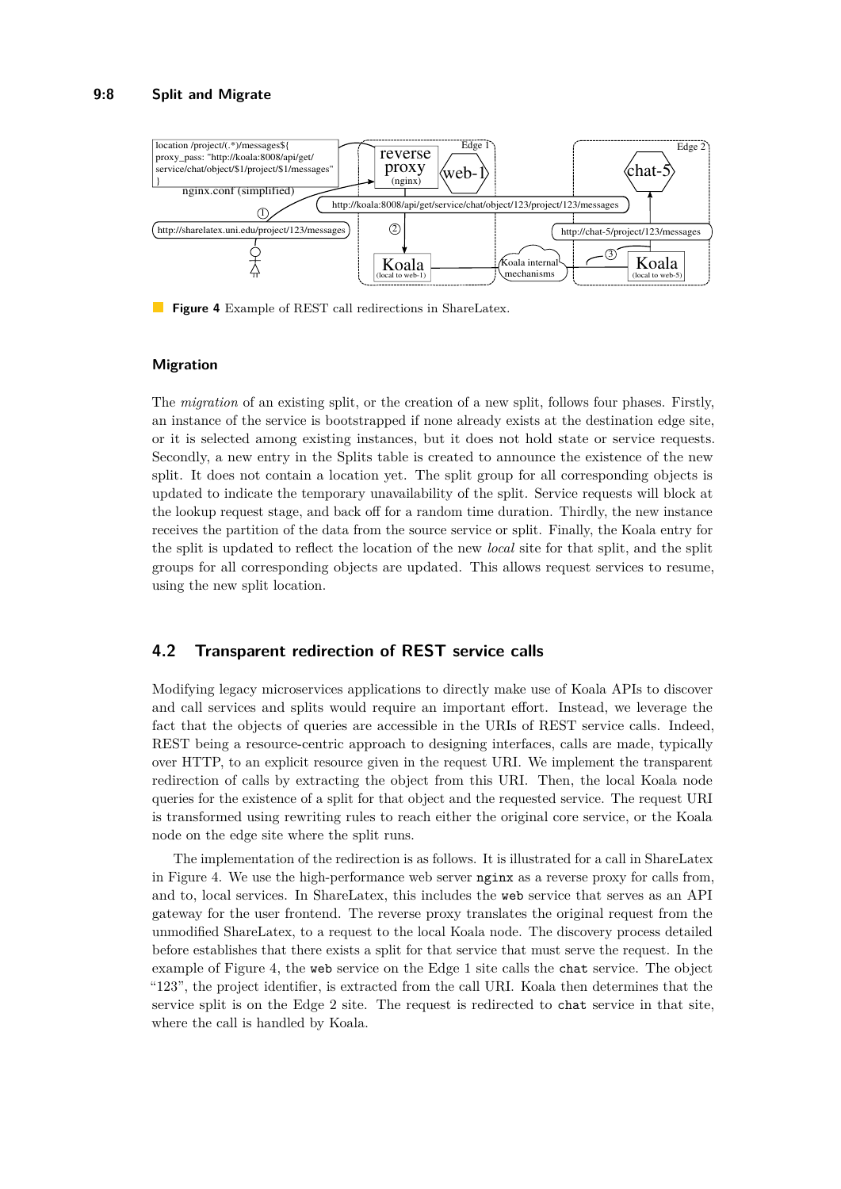<span id="page-7-1"></span>

**Figure 4** Example of REST call redirections in ShareLatex.

## **Migration**

The *migration* of an existing split, or the creation of a new split, follows four phases. Firstly, an instance of the service is bootstrapped if none already exists at the destination edge site, or it is selected among existing instances, but it does not hold state or service requests. Secondly, a new entry in the Splits table is created to announce the existence of the new split. It does not contain a location yet. The split group for all corresponding objects is updated to indicate the temporary unavailability of the split. Service requests will block at the lookup request stage, and back off for a random time duration. Thirdly, the new instance receives the partition of the data from the source service or split. Finally, the Koala entry for the split is updated to reflect the location of the new *local* site for that split, and the split groups for all corresponding objects are updated. This allows request services to resume, using the new split location.

# <span id="page-7-0"></span>**4.2 Transparent redirection of REST service calls**

Modifying legacy microservices applications to directly make use of Koala APIs to discover and call services and splits would require an important effort. Instead, we leverage the fact that the objects of queries are accessible in the URIs of REST service calls. Indeed, REST being a resource-centric approach to designing interfaces, calls are made, typically over HTTP, to an explicit resource given in the request URI. We implement the transparent redirection of calls by extracting the object from this URI. Then, the local Koala node queries for the existence of a split for that object and the requested service. The request URI is transformed using rewriting rules to reach either the original core service, or the Koala node on the edge site where the split runs.

The implementation of the redirection is as follows. It is illustrated for a call in ShareLatex in Figure [4.](#page-7-1) We use the high-performance web server nginx as a reverse proxy for calls from, and to, local services. In ShareLatex, this includes the web service that serves as an API gateway for the user frontend. The reverse proxy translates the original request from the unmodified ShareLatex, to a request to the local Koala node. The discovery process detailed before establishes that there exists a split for that service that must serve the request. In the example of Figure [4,](#page-7-1) the web service on the Edge 1 site calls the chat service. The object "123", the project identifier, is extracted from the call URI. Koala then determines that the service split is on the Edge 2 site. The request is redirected to chat service in that site, where the call is handled by Koala.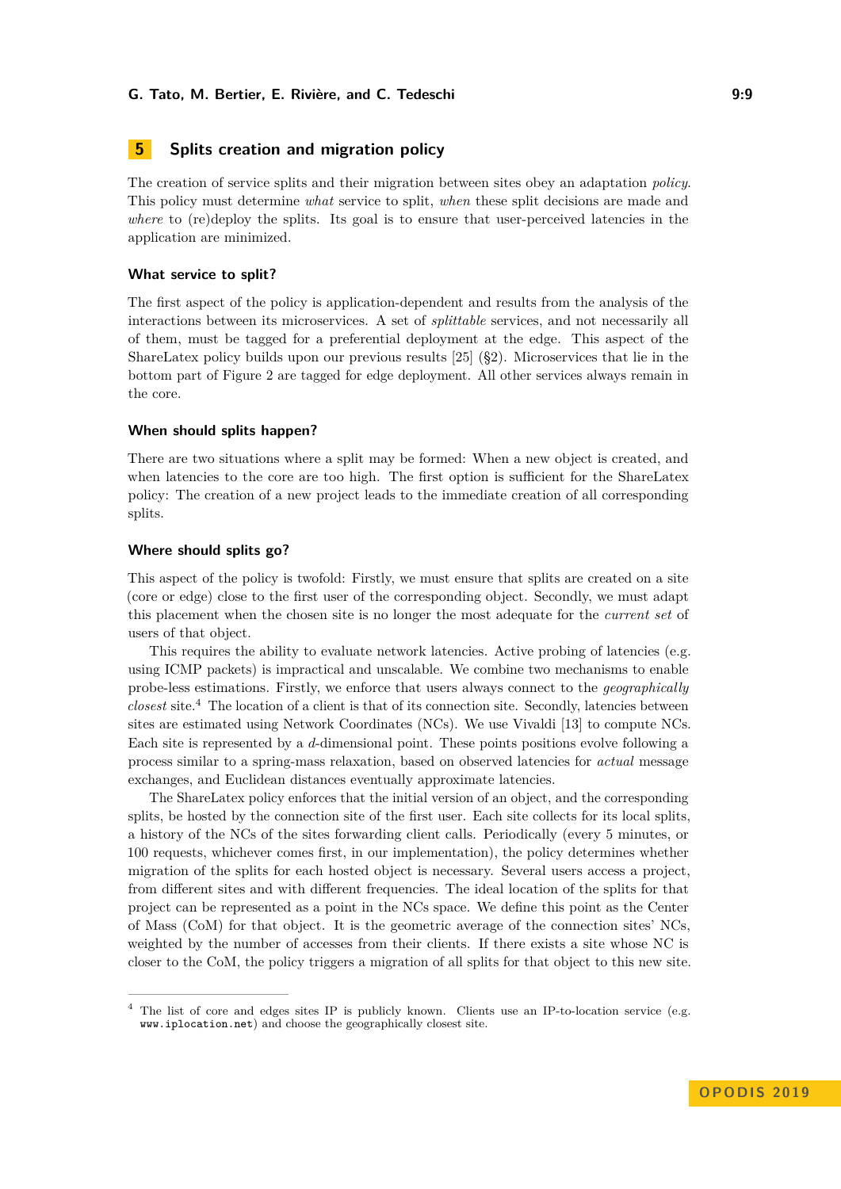# <span id="page-8-0"></span>**5 Splits creation and migration policy**

The creation of service splits and their migration between sites obey an adaptation *policy*. This policy must determine *what* service to split, *when* these split decisions are made and *where* to (re)deploy the splits. Its goal is to ensure that user-perceived latencies in the application are minimized.

#### **What service to split?**

The first aspect of the policy is application-dependent and results from the analysis of the interactions between its microservices. A set of *splittable* services, and not necessarily all of them, must be tagged for a preferential deployment at the edge. This aspect of the ShareLatex policy builds upon our previous results [\[25\]](#page-15-3) ([§2\)](#page-2-0). Microservices that lie in the bottom part of Figure [2](#page-3-1) are tagged for edge deployment. All other services always remain in the core.

#### **When should splits happen?**

There are two situations where a split may be formed: When a new object is created, and when latencies to the core are too high. The first option is sufficient for the ShareLatex policy: The creation of a new project leads to the immediate creation of all corresponding splits.

#### **Where should splits go?**

This aspect of the policy is twofold: Firstly, we must ensure that splits are created on a site (core or edge) close to the first user of the corresponding object. Secondly, we must adapt this placement when the chosen site is no longer the most adequate for the *current set* of users of that object.

This requires the ability to evaluate network latencies. Active probing of latencies (e.g. using ICMP packets) is impractical and unscalable. We combine two mechanisms to enable probe-less estimations. Firstly, we enforce that users always connect to the *geographically closest* site.[4](#page-8-1) The location of a client is that of its connection site. Secondly, latencies between sites are estimated using Network Coordinates (NCs). We use Vivaldi [\[13\]](#page-14-3) to compute NCs. Each site is represented by a *d*-dimensional point. These points positions evolve following a process similar to a spring-mass relaxation, based on observed latencies for *actual* message exchanges, and Euclidean distances eventually approximate latencies.

The ShareLatex policy enforces that the initial version of an object, and the corresponding splits, be hosted by the connection site of the first user. Each site collects for its local splits, a history of the NCs of the sites forwarding client calls. Periodically (every 5 minutes, or 100 requests, whichever comes first, in our implementation), the policy determines whether migration of the splits for each hosted object is necessary. Several users access a project, from different sites and with different frequencies. The ideal location of the splits for that project can be represented as a point in the NCs space. We define this point as the Center of Mass (CoM) for that object. It is the geometric average of the connection sites' NCs, weighted by the number of accesses from their clients. If there exists a site whose NC is closer to the CoM, the policy triggers a migration of all splits for that object to this new site.

<span id="page-8-1"></span><sup>4</sup> The list of core and edges sites IP is publicly known. Clients use an IP-to-location service (e.g. <www.iplocation.net>) and choose the geographically closest site.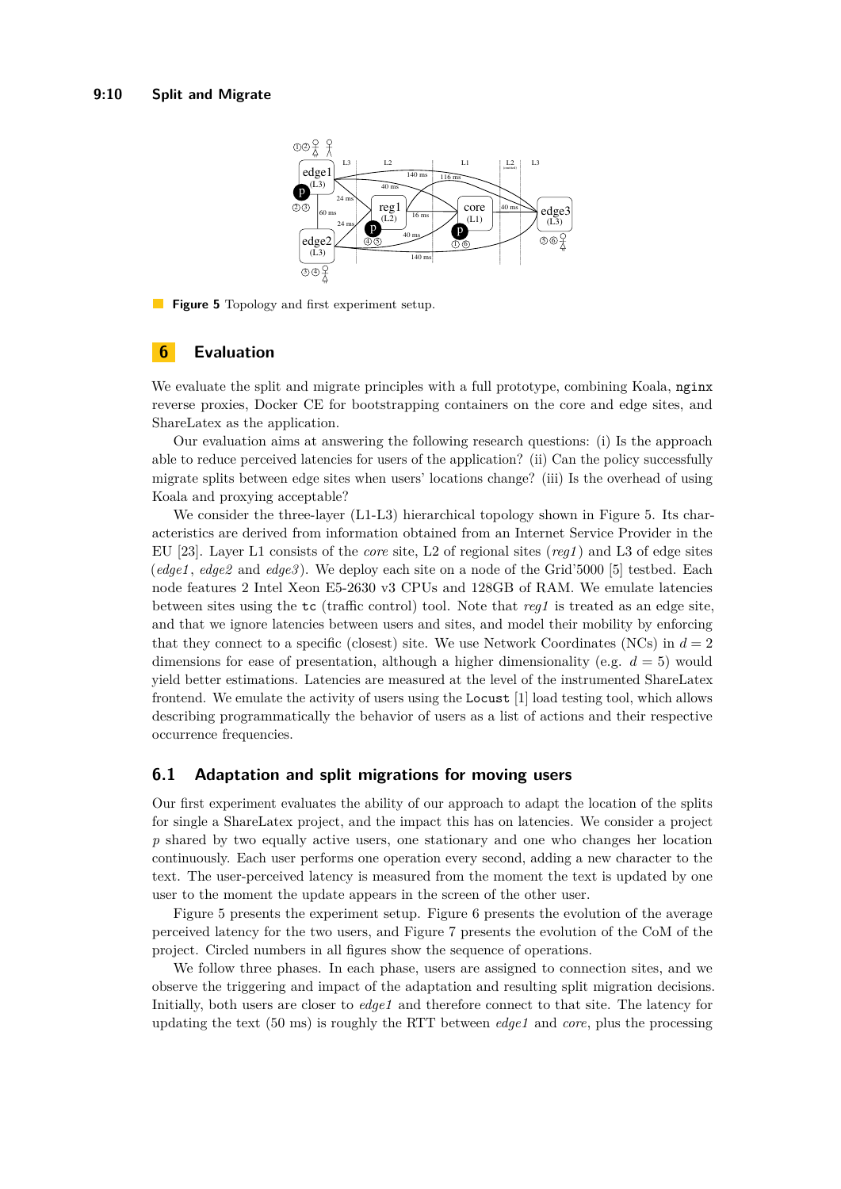<span id="page-9-1"></span>

**Figure 5** Topology and first experiment setup.

# <span id="page-9-0"></span>**6 Evaluation**

We evaluate the split and migrate principles with a full prototype, combining Koala, nginx reverse proxies, Docker CE for bootstrapping containers on the core and edge sites, and ShareLatex as the application.

Our evaluation aims at answering the following research questions: (i) Is the approach able to reduce perceived latencies for users of the application? (ii) Can the policy successfully migrate splits between edge sites when users' locations change? (iii) Is the overhead of using Koala and proxying acceptable?

We consider the three-layer  $(L1-L3)$  hierarchical topology shown in Figure [5.](#page-9-1) Its characteristics are derived from information obtained from an Internet Service Provider in the EU [\[23\]](#page-15-8). Layer L1 consists of the *core* site, L2 of regional sites (*reg1* ) and L3 of edge sites (*edge1* , *edge2* and *edge3* ). We deploy each site on a node of the Grid'5000 [\[5\]](#page-14-6) testbed. Each node features 2 Intel Xeon E5-2630 v3 CPUs and 128GB of RAM. We emulate latencies between sites using the tc (traffic control) tool. Note that *reg1* is treated as an edge site, and that we ignore latencies between users and sites, and model their mobility by enforcing that they connect to a specific (closest) site. We use Network Coordinates (NCs) in  $d=2$ dimensions for ease of presentation, although a higher dimensionality (e.g.  $d = 5$ ) would yield better estimations. Latencies are measured at the level of the instrumented ShareLatex frontend. We emulate the activity of users using the Locust [\[1\]](#page-14-7) load testing tool, which allows describing programmatically the behavior of users as a list of actions and their respective occurrence frequencies.

#### **6.1 Adaptation and split migrations for moving users**

Our first experiment evaluates the ability of our approach to adapt the location of the splits for single a ShareLatex project, and the impact this has on latencies. We consider a project *p* shared by two equally active users, one stationary and one who changes her location continuously. Each user performs one operation every second, adding a new character to the text. The user-perceived latency is measured from the moment the text is updated by one user to the moment the update appears in the screen of the other user.

Figure [5](#page-9-1) presents the experiment setup. Figure [6](#page-10-0) presents the evolution of the average perceived latency for the two users, and Figure [7](#page-10-0) presents the evolution of the CoM of the project. Circled numbers in all figures show the sequence of operations.

We follow three phases. In each phase, users are assigned to connection sites, and we observe the triggering and impact of the adaptation and resulting split migration decisions. Initially, both users are closer to *edge1* and therefore connect to that site. The latency for updating the text (50 ms) is roughly the RTT between *edge1* and *core*, plus the processing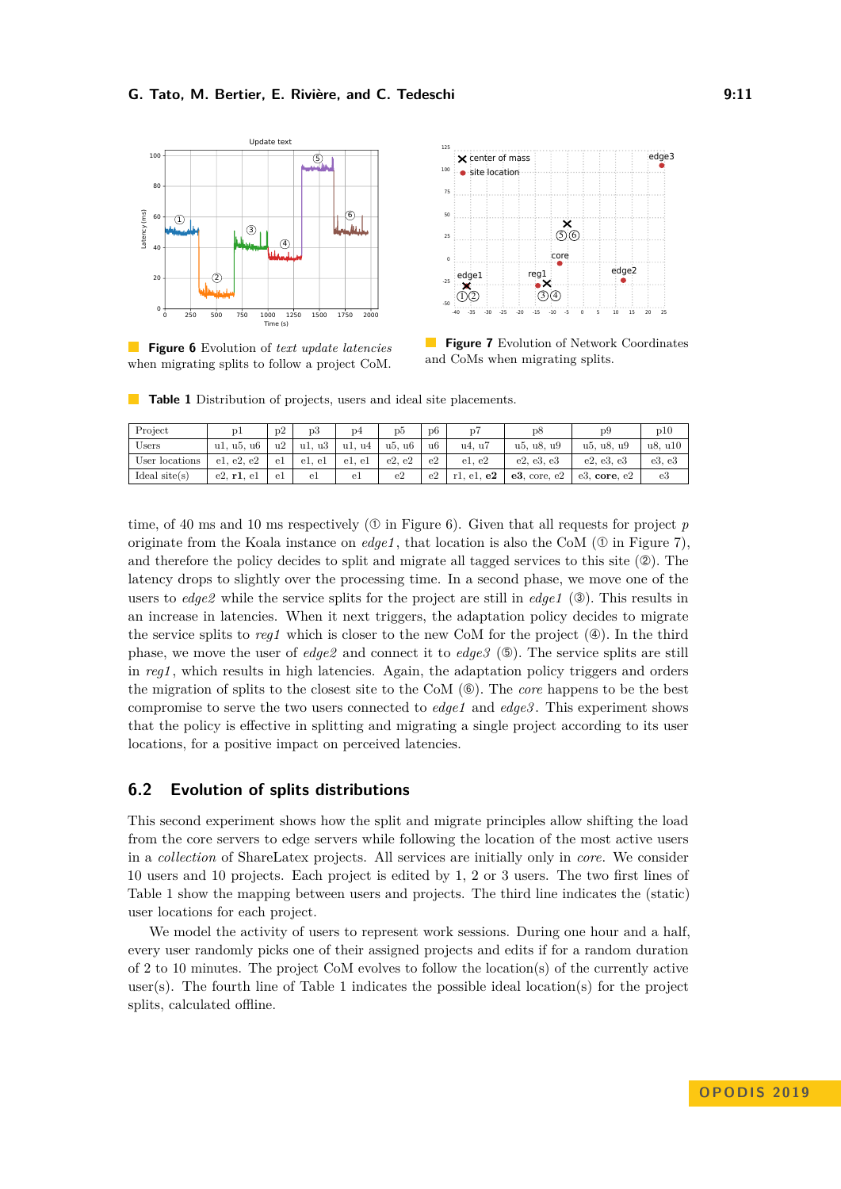<span id="page-10-0"></span>

**Figure 6** Evolution of *text update latencies* when migrating splits to follow a project CoM.



**Figure 7** Evolution of Network Coordinates and CoMs when migrating splits.

<span id="page-10-1"></span>**Table 1** Distribution of projects, users and ideal site placements.

| Project         | υl         | D <sub>2</sub> | p3          | D <sub>4</sub> | p5     | D <sub>6</sub> | $\overline{p}$ | $\overline{D}8$   | D9                | $_{\rm p10}$ |
|-----------------|------------|----------------|-------------|----------------|--------|----------------|----------------|-------------------|-------------------|--------------|
| Users           | u1. u5. u6 | u2             | . u3<br>u1. | u1. u4         | u5. u6 | u6             | u4, u7         | u5, u8, u9        | u5, u8, u9        | u8, u10      |
| User locations  | e1, e2, e2 | el             | e1. e1      | e1. e1         | e2. e2 | e2             | e1, e2         | e2, e3, e3        | e2, e3, e3        | e3, e3       |
| Ideal $site(s)$ | e2, r1, e1 | el             | el          | el             | e2     | e2             | $r1.$ e1. $e2$ | $e3$ , core, $e2$ | $e3$ , core, $e2$ | e3           |

time, of 40 ms and 10 ms respectively  $(\mathbb{O})$  in Figure [6\)](#page-10-0). Given that all requests for project *p* originate from the Koala instance on  $edge1$ , that location is also the CoM ( $\mathcal{O}$  in Figure [7\)](#page-10-0), and therefore the policy decides to split and migrate all tagged services to this site  $(②)$ . The latency drops to slightly over the processing time. In a second phase, we move one of the users to *edge2* while the service splits for the project are still in *edge1* (➂). This results in an increase in latencies. When it next triggers, the adaptation policy decides to migrate the service splits to  $req1$  which is closer to the new CoM for the project  $(\mathcal{A})$ . In the third phase, we move the user of  $edge2$  and connect it to  $edge3$  ( $\textcircled{})$ ). The service splits are still in *reg1* , which results in high latencies. Again, the adaptation policy triggers and orders the migration of splits to the closest site to the CoM (➅). The *core* happens to be the best compromise to serve the two users connected to *edge1* and *edge3* . This experiment shows that the policy is effective in splitting and migrating a single project according to its user locations, for a positive impact on perceived latencies.

# **6.2 Evolution of splits distributions**

This second experiment shows how the split and migrate principles allow shifting the load from the core servers to edge servers while following the location of the most active users in a *collection* of ShareLatex projects. All services are initially only in *core*. We consider 10 users and 10 projects. Each project is edited by 1, 2 or 3 users. The two first lines of Table [1](#page-10-1) show the mapping between users and projects. The third line indicates the (static) user locations for each project.

We model the activity of users to represent work sessions. During one hour and a half, every user randomly picks one of their assigned projects and edits if for a random duration of 2 to 10 minutes. The project CoM evolves to follow the location(s) of the currently active user(s). The fourth line of Table [1](#page-10-1) indicates the possible ideal location(s) for the project splits, calculated offline.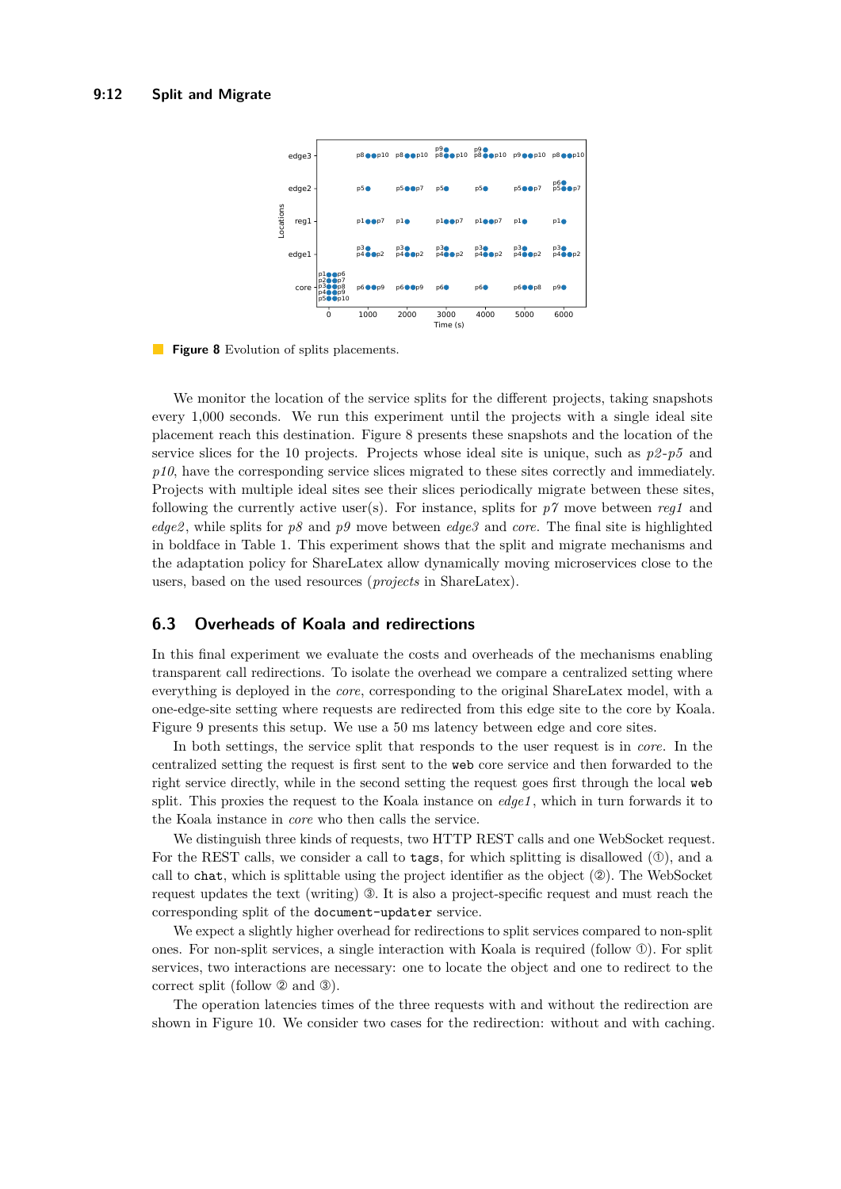<span id="page-11-0"></span>

 $\mathbb{R}^n$ **Figure 8** Evolution of splits placements.

We monitor the location of the service splits for the different projects, taking snapshots every 1,000 seconds. We run this experiment until the projects with a single ideal site placement reach this destination. Figure [8](#page-11-0) presents these snapshots and the location of the service slices for the 10 projects. Projects whose ideal site is unique, such as  $p2-p5$  and p10, have the corresponding service slices migrated to these sites correctly and immediately. Projects with multiple ideal sites see their slices periodically migrate between these sites, following the currently active user(s). For instance, splits for  $p\gamma$  move between *reg1* and *edge2* , while splits for *p8* and *p9* move between *edge3* and *core*. The final site is highlighted in boldface in Table [1.](#page-10-1) This experiment shows that the split and migrate mechanisms and the adaptation policy for ShareLatex allow dynamically moving microservices close to the users, based on the used resources (*projects* in ShareLatex).

# **6.3 Overheads of Koala and redirections**

In this final experiment we evaluate the costs and overheads of the mechanisms enabling transparent call redirections. To isolate the overhead we compare a centralized setting where everything is deployed in the *core*, corresponding to the original ShareLatex model, with a one-edge-site setting where requests are redirected from this edge site to the core by Koala. Figure [9](#page-12-1) presents this setup. We use a 50 ms latency between edge and core sites.

In both settings, the service split that responds to the user request is in *core*. In the centralized setting the request is first sent to the web core service and then forwarded to the right service directly, while in the second setting the request goes first through the local web split. This proxies the request to the Koala instance on *edge1* , which in turn forwards it to the Koala instance in *core* who then calls the service.

We distinguish three kinds of requests, two HTTP REST calls and one WebSocket request. For the REST calls, we consider a call to tags, for which splitting is disallowed  $(①)$ , and a call to chat, which is splittable using the project identifier as the object  $(\mathcal{Q})$ . The WebSocket request updates the text (writing) ➂. It is also a project-specific request and must reach the corresponding split of the document-updater service.

We expect a slightly higher overhead for redirections to split services compared to non-split ones. For non-split services, a single interaction with Koala is required (follow ➀). For split services, two interactions are necessary: one to locate the object and one to redirect to the correct split (follow ➁ and ➂).

The operation latencies times of the three requests with and without the redirection are shown in Figure [10.](#page-12-2) We consider two cases for the redirection: without and with caching.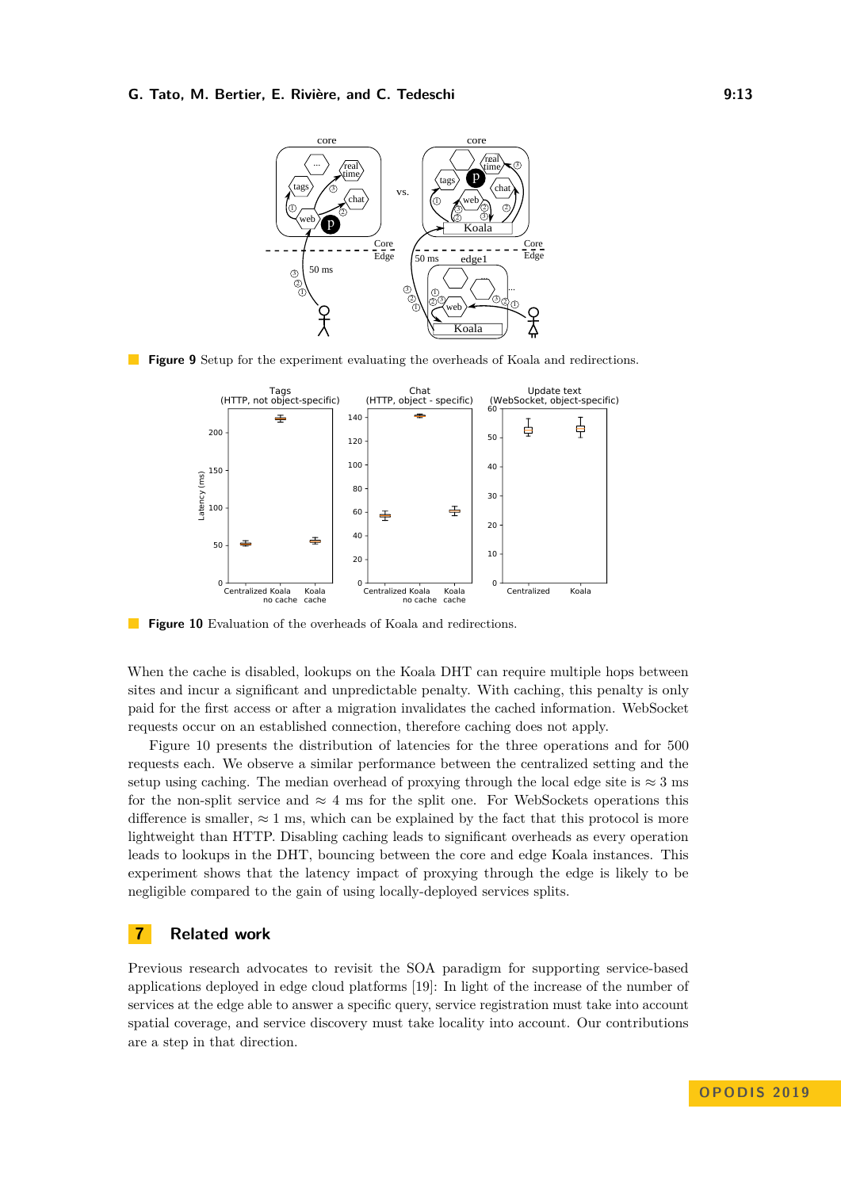<span id="page-12-1"></span>

<span id="page-12-2"></span>**Figure 9** Setup for the experiment evaluating the overheads of Koala and redirections.



**Figure 10** Evaluation of the overheads of Koala and redirections.

When the cache is disabled, lookups on the Koala DHT can require multiple hops between sites and incur a significant and unpredictable penalty. With caching, this penalty is only paid for the first access or after a migration invalidates the cached information. WebSocket requests occur on an established connection, therefore caching does not apply.

Figure [10](#page-12-2) presents the distribution of latencies for the three operations and for 500 requests each. We observe a similar performance between the centralized setting and the setup using caching. The median overhead of proxying through the local edge site is  $\approx 3$  ms for the non-split service and  $\approx 4$  ms for the split one. For WebSockets operations this difference is smaller,  $\approx 1$  ms, which can be explained by the fact that this protocol is more lightweight than HTTP. Disabling caching leads to significant overheads as every operation leads to lookups in the DHT, bouncing between the core and edge Koala instances. This experiment shows that the latency impact of proxying through the edge is likely to be negligible compared to the gain of using locally-deployed services splits.

# <span id="page-12-0"></span>**7 Related work**

Previous research advocates to revisit the SOA paradigm for supporting service-based applications deployed in edge cloud platforms [\[19\]](#page-15-9): In light of the increase of the number of services at the edge able to answer a specific query, service registration must take into account spatial coverage, and service discovery must take locality into account. Our contributions are a step in that direction.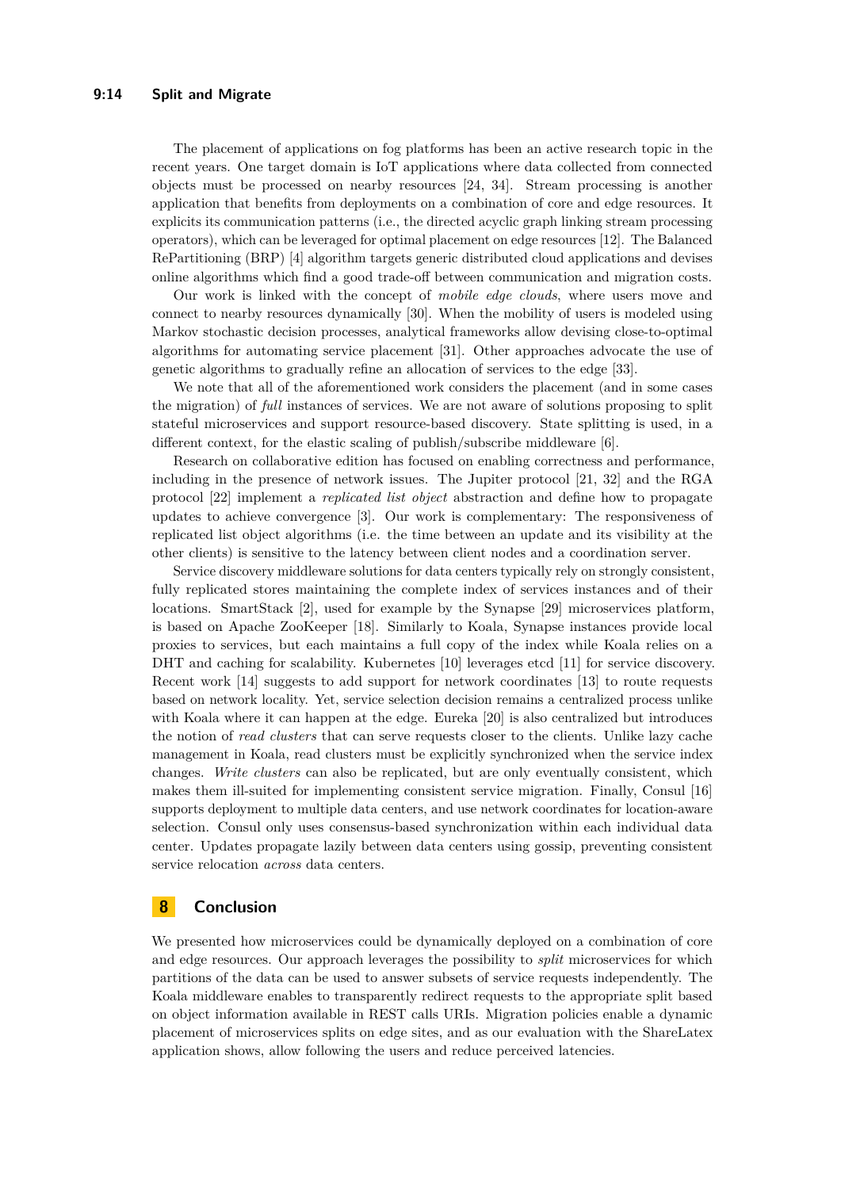The placement of applications on fog platforms has been an active research topic in the recent years. One target domain is IoT applications where data collected from connected objects must be processed on nearby resources [\[24,](#page-15-10) [34\]](#page-15-11). Stream processing is another application that benefits from deployments on a combination of core and edge resources. It explicits its communication patterns (i.e., the directed acyclic graph linking stream processing operators), which can be leveraged for optimal placement on edge resources [\[12\]](#page-14-8). The Balanced RePartitioning (BRP) [\[4\]](#page-14-9) algorithm targets generic distributed cloud applications and devises online algorithms which find a good trade-off between communication and migration costs.

Our work is linked with the concept of *mobile edge clouds*, where users move and connect to nearby resources dynamically [\[30\]](#page-15-12). When the mobility of users is modeled using Markov stochastic decision processes, analytical frameworks allow devising close-to-optimal algorithms for automating service placement [\[31\]](#page-15-13). Other approaches advocate the use of genetic algorithms to gradually refine an allocation of services to the edge [\[33\]](#page-15-14).

We note that all of the aforementioned work considers the placement (and in some cases the migration) of *full* instances of services. We are not aware of solutions proposing to split stateful microservices and support resource-based discovery. State splitting is used, in a different context, for the elastic scaling of publish/subscribe middleware [\[6\]](#page-14-10).

Research on collaborative edition has focused on enabling correctness and performance, including in the presence of network issues. The Jupiter protocol [\[21,](#page-15-15) [32\]](#page-15-16) and the RGA protocol [\[22\]](#page-15-17) implement a *replicated list object* abstraction and define how to propagate updates to achieve convergence [\[3\]](#page-14-11). Our work is complementary: The responsiveness of replicated list object algorithms (i.e. the time between an update and its visibility at the other clients) is sensitive to the latency between client nodes and a coordination server.

Service discovery middleware solutions for data centers typically rely on strongly consistent, fully replicated stores maintaining the complete index of services instances and of their locations. SmartStack [\[2\]](#page-14-12), used for example by the Synapse [\[29\]](#page-15-18) microservices platform, is based on Apache ZooKeeper [\[18\]](#page-15-6). Similarly to Koala, Synapse instances provide local proxies to services, but each maintains a full copy of the index while Koala relies on a DHT and caching for scalability. Kubernetes [\[10\]](#page-14-13) leverages etcd [\[11\]](#page-14-5) for service discovery. Recent work [\[14\]](#page-14-14) suggests to add support for network coordinates [\[13\]](#page-14-3) to route requests based on network locality. Yet, service selection decision remains a centralized process unlike with Koala where it can happen at the edge. Eureka [\[20\]](#page-15-19) is also centralized but introduces the notion of *read clusters* that can serve requests closer to the clients. Unlike lazy cache management in Koala, read clusters must be explicitly synchronized when the service index changes. *Write clusters* can also be replicated, but are only eventually consistent, which makes them ill-suited for implementing consistent service migration. Finally, Consul [\[16\]](#page-14-15) supports deployment to multiple data centers, and use network coordinates for location-aware selection. Consul only uses consensus-based synchronization within each individual data center. Updates propagate lazily between data centers using gossip, preventing consistent service relocation *across* data centers.

# <span id="page-13-0"></span>**8 Conclusion**

We presented how microservices could be dynamically deployed on a combination of core and edge resources. Our approach leverages the possibility to *split* microservices for which partitions of the data can be used to answer subsets of service requests independently. The Koala middleware enables to transparently redirect requests to the appropriate split based on object information available in REST calls URIs. Migration policies enable a dynamic placement of microservices splits on edge sites, and as our evaluation with the ShareLatex application shows, allow following the users and reduce perceived latencies.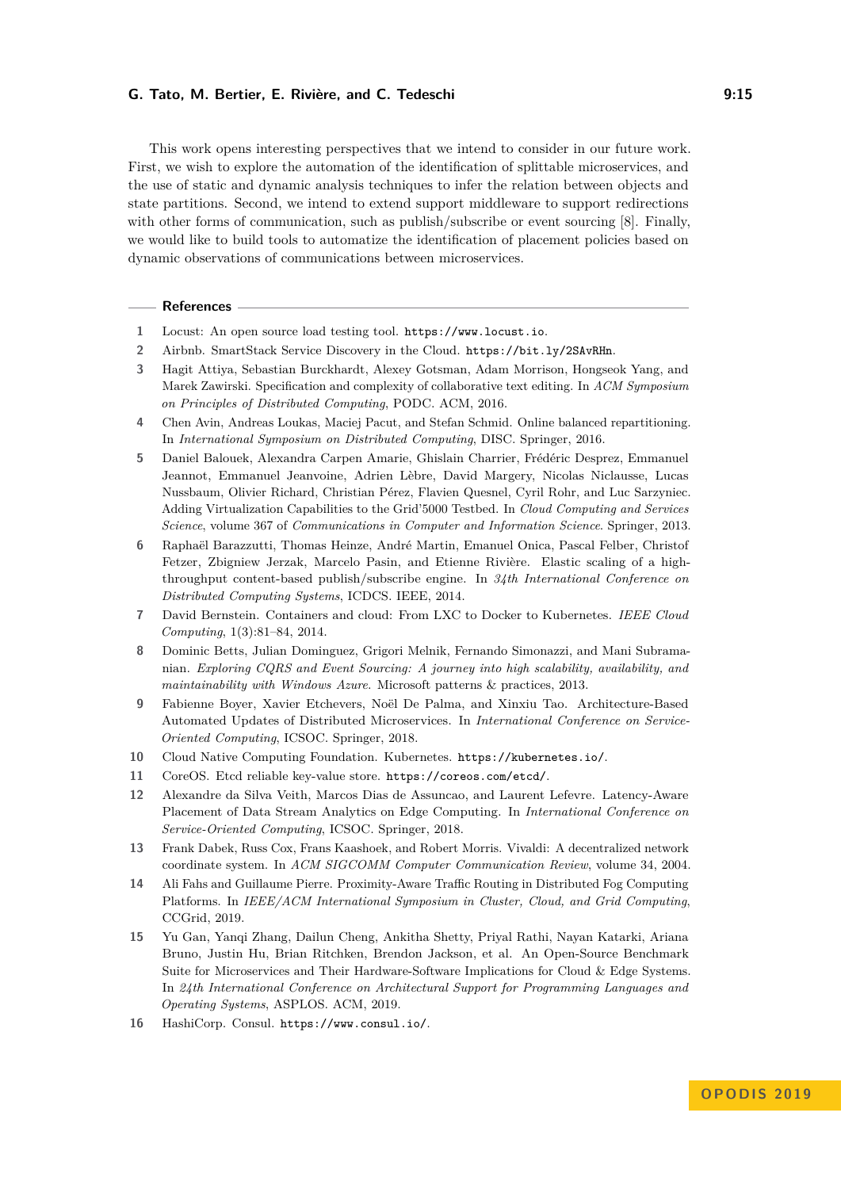This work opens interesting perspectives that we intend to consider in our future work. First, we wish to explore the automation of the identification of splittable microservices, and the use of static and dynamic analysis techniques to infer the relation between objects and state partitions. Second, we intend to extend support middleware to support redirections with other forms of communication, such as publish/subscribe or event sourcing [\[8\]](#page-14-2). Finally, we would like to build tools to automatize the identification of placement policies based on dynamic observations of communications between microservices.

#### **References**

- <span id="page-14-7"></span>**1** Locust: An open source load testing tool. <https://www.locust.io>.
- <span id="page-14-12"></span>**2** Airbnb. SmartStack Service Discovery in the Cloud. <https://bit.ly/2SAvRHn>.
- <span id="page-14-11"></span>**3** Hagit Attiya, Sebastian Burckhardt, Alexey Gotsman, Adam Morrison, Hongseok Yang, and Marek Zawirski. Specification and complexity of collaborative text editing. In *ACM Symposium on Principles of Distributed Computing*, PODC. ACM, 2016.
- <span id="page-14-9"></span>**4** Chen Avin, Andreas Loukas, Maciej Pacut, and Stefan Schmid. Online balanced repartitioning. In *International Symposium on Distributed Computing*, DISC. Springer, 2016.
- <span id="page-14-6"></span>**5** Daniel Balouek, Alexandra Carpen Amarie, Ghislain Charrier, Frédéric Desprez, Emmanuel Jeannot, Emmanuel Jeanvoine, Adrien Lèbre, David Margery, Nicolas Niclausse, Lucas Nussbaum, Olivier Richard, Christian Pérez, Flavien Quesnel, Cyril Rohr, and Luc Sarzyniec. Adding Virtualization Capabilities to the Grid'5000 Testbed. In *Cloud Computing and Services Science*, volume 367 of *Communications in Computer and Information Science*. Springer, 2013.
- <span id="page-14-10"></span>**6** Raphaël Barazzutti, Thomas Heinze, André Martin, Emanuel Onica, Pascal Felber, Christof Fetzer, Zbigniew Jerzak, Marcelo Pasin, and Etienne Rivière. Elastic scaling of a highthroughput content-based publish/subscribe engine. In *34th International Conference on Distributed Computing Systems*, ICDCS. IEEE, 2014.
- <span id="page-14-4"></span>**7** David Bernstein. Containers and cloud: From LXC to Docker to Kubernetes. *IEEE Cloud Computing*, 1(3):81–84, 2014.
- <span id="page-14-2"></span>**8** Dominic Betts, Julian Dominguez, Grigori Melnik, Fernando Simonazzi, and Mani Subramanian. *Exploring CQRS and Event Sourcing: A journey into high scalability, availability, and maintainability with Windows Azure*. Microsoft patterns & practices, 2013.
- <span id="page-14-0"></span>**9** Fabienne Boyer, Xavier Etchevers, Noël De Palma, and Xinxiu Tao. Architecture-Based Automated Updates of Distributed Microservices. In *International Conference on Service-Oriented Computing*, ICSOC. Springer, 2018.
- <span id="page-14-13"></span>**10** Cloud Native Computing Foundation. Kubernetes. <https://kubernetes.io/>.
- <span id="page-14-5"></span>**11** CoreOS. Etcd reliable key-value store. <https://coreos.com/etcd/>.
- <span id="page-14-8"></span>**12** Alexandre da Silva Veith, Marcos Dias de Assuncao, and Laurent Lefevre. Latency-Aware Placement of Data Stream Analytics on Edge Computing. In *International Conference on Service-Oriented Computing*, ICSOC. Springer, 2018.
- <span id="page-14-3"></span>**13** Frank Dabek, Russ Cox, Frans Kaashoek, and Robert Morris. Vivaldi: A decentralized network coordinate system. In *ACM SIGCOMM Computer Communication Review*, volume 34, 2004.
- <span id="page-14-14"></span>**14** Ali Fahs and Guillaume Pierre. Proximity-Aware Traffic Routing in Distributed Fog Computing Platforms. In *IEEE/ACM International Symposium in Cluster, Cloud, and Grid Computing*, CCGrid, 2019.
- <span id="page-14-1"></span>**15** Yu Gan, Yanqi Zhang, Dailun Cheng, Ankitha Shetty, Priyal Rathi, Nayan Katarki, Ariana Bruno, Justin Hu, Brian Ritchken, Brendon Jackson, et al. An Open-Source Benchmark Suite for Microservices and Their Hardware-Software Implications for Cloud & Edge Systems. In *24th International Conference on Architectural Support for Programming Languages and Operating Systems*, ASPLOS. ACM, 2019.
- <span id="page-14-15"></span>**16** HashiCorp. Consul. <https://www.consul.io/>.